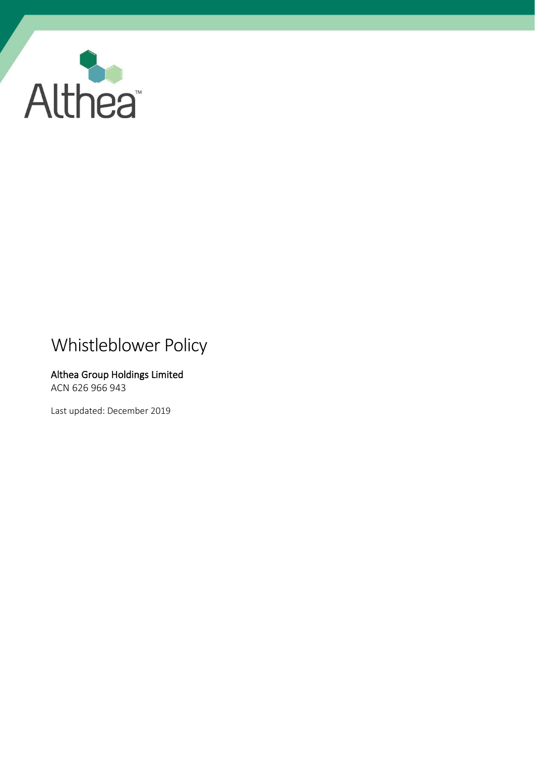

# Whistleblower Policy

# Althea Group Holdings Limited ACN 626 966 943

Last updated: December 2019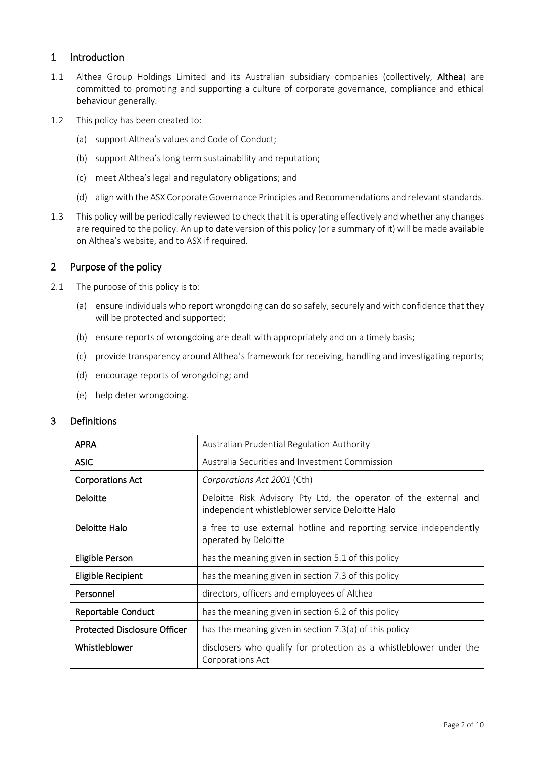## 1 Introduction

- 1.1 Althea Group Holdings Limited and its Australian subsidiary companies (collectively, Althea) are committed to promoting and supporting a culture of corporate governance, compliance and ethical behaviour generally.
- 1.2 This policy has been created to:
	- (a) support Althea's values and Code of Conduct;
	- (b) support Althea's long term sustainability and reputation;
	- (c) meet Althea's legal and regulatory obligations; and
	- (d) align with the ASX Corporate Governance Principles and Recommendations and relevant standards.
- 1.3 This policy will be periodically reviewed to check that it is operating effectively and whether any changes are required to the policy. An up to date version of this policy (or a summary of it) will be made available on Althea's website, and to ASX if required.

## 2 Purpose of the policy

- 2.1 The purpose of this policy is to:
	- (a) ensure individuals who report wrongdoing can do so safely, securely and with confidence that they will be protected and supported;
	- (b) ensure reports of wrongdoing are dealt with appropriately and on a timely basis;
	- (c) provide transparency around Althea's framework for receiving, handling and investigating reports;
	- (d) encourage reports of wrongdoing; and
	- (e) help deter wrongdoing.

## 3 Definitions

| <b>APRA</b>                         | Australian Prudential Regulation Authority                                                                          |
|-------------------------------------|---------------------------------------------------------------------------------------------------------------------|
| <b>ASIC</b>                         | Australia Securities and Investment Commission                                                                      |
| <b>Corporations Act</b>             | Corporations Act 2001 (Cth)                                                                                         |
| <b>Deloitte</b>                     | Deloitte Risk Advisory Pty Ltd, the operator of the external and<br>independent whistleblower service Deloitte Halo |
| Deloitte Halo                       | a free to use external hotline and reporting service independently<br>operated by Deloitte                          |
| Eligible Person                     | has the meaning given in section 5.1 of this policy                                                                 |
| Eligible Recipient                  | has the meaning given in section 7.3 of this policy                                                                 |
| Personnel                           | directors, officers and employees of Althea                                                                         |
| Reportable Conduct                  | has the meaning given in section 6.2 of this policy                                                                 |
| <b>Protected Disclosure Officer</b> | has the meaning given in section 7.3(a) of this policy                                                              |
| Whistleblower                       | disclosers who qualify for protection as a whistleblower under the<br>Corporations Act                              |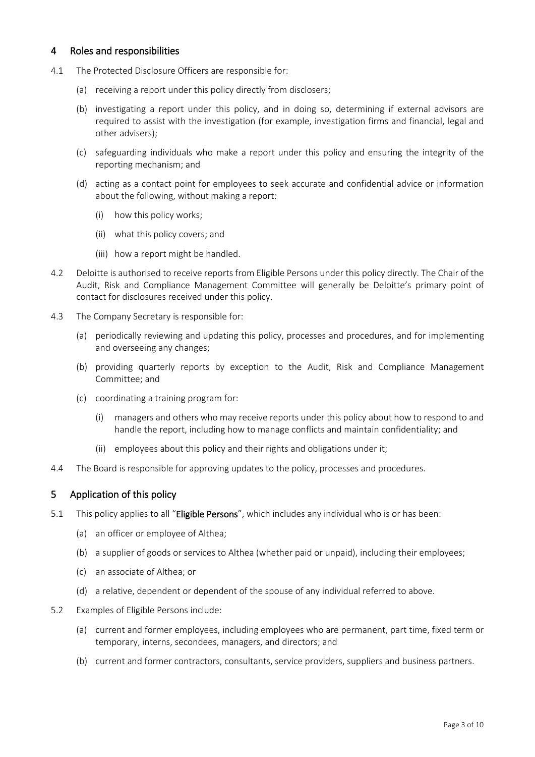## 4 Roles and responsibilities

- 4.1 The Protected Disclosure Officers are responsible for:
	- (a) receiving a report under this policy directly from disclosers;
	- (b) investigating a report under this policy, and in doing so, determining if external advisors are required to assist with the investigation (for example, investigation firms and financial, legal and other advisers);
	- (c) safeguarding individuals who make a report under this policy and ensuring the integrity of the reporting mechanism; and
	- (d) acting as a contact point for employees to seek accurate and confidential advice or information about the following, without making a report:
		- (i) how this policy works;
		- (ii) what this policy covers; and
		- (iii) how a report might be handled.
- 4.2 Deloitte is authorised to receive reports from Eligible Persons under this policy directly. The Chair of the Audit, Risk and Compliance Management Committee will generally be Deloitte's primary point of contact for disclosures received under this policy.
- 4.3 The Company Secretary is responsible for:
	- (a) periodically reviewing and updating this policy, processes and procedures, and for implementing and overseeing any changes;
	- (b) providing quarterly reports by exception to the Audit, Risk and Compliance Management Committee; and
	- (c) coordinating a training program for:
		- (i) managers and others who may receive reports under this policy about how to respond to and handle the report, including how to manage conflicts and maintain confidentiality; and
		- (ii) employees about this policy and their rights and obligations under it;
- 4.4 The Board is responsible for approving updates to the policy, processes and procedures.

## 5 Application of this policy

- <span id="page-2-0"></span>5.1 This policy applies to all "Eligible Persons", which includes any individual who is or has been:
	- (a) an officer or employee of Althea;
	- (b) a supplier of goods or services to Althea (whether paid or unpaid), including their employees;
	- (c) an associate of Althea; or
	- (d) a relative, dependent or dependent of the spouse of any individual referred to above.
- 5.2 Examples of Eligible Persons include:
	- (a) current and former employees, including employees who are permanent, part time, fixed term or temporary, interns, secondees, managers, and directors; and
	- (b) current and former contractors, consultants, service providers, suppliers and business partners.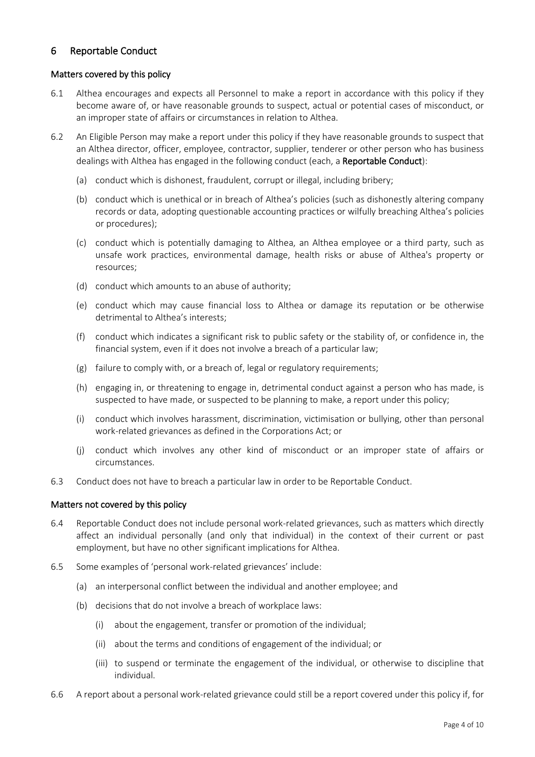# 6 Reportable Conduct

### Matters covered by this policy

- 6.1 Althea encourages and expects all Personnel to make a report in accordance with this policy if they become aware of, or have reasonable grounds to suspect, actual or potential cases of misconduct, or an improper state of affairs or circumstances in relation to Althea.
- <span id="page-3-0"></span>6.2 An Eligible Person may make a report under this policy if they have reasonable grounds to suspect that an Althea director, officer, employee, contractor, supplier, tenderer or other person who has business dealings with Althea has engaged in the following conduct (each, a Reportable Conduct):
	- (a) conduct which is dishonest, fraudulent, corrupt or illegal, including bribery;
	- (b) conduct which is unethical or in breach of Althea's policies (such as dishonestly altering company records or data, adopting questionable accounting practices or wilfully breaching Althea's policies or procedures);
	- (c) conduct which is potentially damaging to Althea, an Althea employee or a third party, such as unsafe work practices, environmental damage, health risks or abuse of Althea's property or resources;
	- (d) conduct which amounts to an abuse of authority;
	- (e) conduct which may cause financial loss to Althea or damage its reputation or be otherwise detrimental to Althea's interests;
	- (f) conduct which indicates a significant risk to public safety or the stability of, or confidence in, the financial system, even if it does not involve a breach of a particular law;
	- (g) failure to comply with, or a breach of, legal or regulatory requirements;
	- (h) engaging in, or threatening to engage in, detrimental conduct against a person who has made, is suspected to have made, or suspected to be planning to make, a report under this policy;
	- (i) conduct which involves harassment, discrimination, victimisation or bullying, other than personal work-related grievances as defined in the Corporations Act; or
	- (j) conduct which involves any other kind of misconduct or an improper state of affairs or circumstances.
- 6.3 Conduct does not have to breach a particular law in order to be Reportable Conduct.

#### Matters not covered by this policy

- 6.4 Reportable Conduct does not include personal work-related grievances, such as matters which directly affect an individual personally (and only that individual) in the context of their current or past employment, but have no other significant implications for Althea.
- 6.5 Some examples of 'personal work-related grievances' include:
	- (a) an interpersonal conflict between the individual and another employee; and
	- (b) decisions that do not involve a breach of workplace laws:
		- (i) about the engagement, transfer or promotion of the individual;
		- (ii) about the terms and conditions of engagement of the individual; or
		- (iii) to suspend or terminate the engagement of the individual, or otherwise to discipline that individual.
- 6.6 A report about a personal work-related grievance could still be a report covered under this policy if, for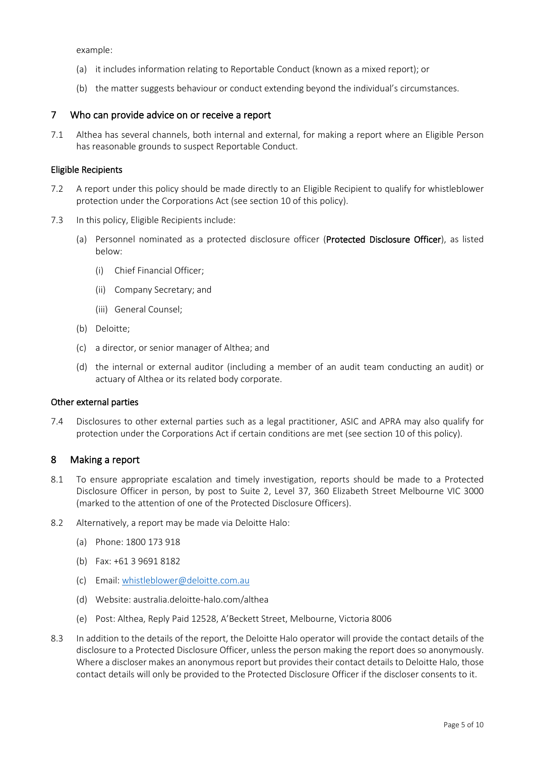example:

- (a) it includes information relating to Reportable Conduct (known as a mixed report); or
- (b) the matter suggests behaviour or conduct extending beyond the individual's circumstances.

#### 7 Who can provide advice on or receive a report

7.1 Althea has several channels, both internal and external, for making a report where an Eligible Person has reasonable grounds to suspect Reportable Conduct.

#### Eligible Recipients

- 7.2 A report under this policy should be made directly to an Eligible Recipient to qualify for whistleblower protection under the Corporations Act (see section [10](#page-7-0) of this policy).
- <span id="page-4-1"></span><span id="page-4-0"></span>7.3 In this policy, Eligible Recipients include:
	- (a) Personnel nominated as a protected disclosure officer (Protected Disclosure Officer), as listed below:
		- (i) Chief Financial Officer;
		- (ii) Company Secretary; and
		- (iii) General Counsel;
	- (b) Deloitte;
	- (c) a director, or senior manager of Althea; and
	- (d) the internal or external auditor (including a member of an audit team conducting an audit) or actuary of Althea or its related body corporate.

#### Other external parties

7.4 Disclosures to other external parties such as a legal practitioner, ASIC and APRA may also qualify for protection under the Corporations Act if certain conditions are met (see sectio[n 10](#page-7-0) of this policy).

#### 8 Making a report

- 8.1 To ensure appropriate escalation and timely investigation, reports should be made to a Protected Disclosure Officer in person, by post to Suite 2, Level 37, 360 Elizabeth Street Melbourne VIC 3000 (marked to the attention of one of the Protected Disclosure Officers).
- 8.2 Alternatively, a report may be made via Deloitte Halo:
	- (a) Phone: 1800 173 918
	- (b) Fax: +61 3 9691 8182
	- (c) Email: [whistleblower@deloitte.com.au](mailto:whistleblower@deloitte.com.au)
	- (d) Website: australia.deloitte-halo.com/althea
	- (e) Post: Althea, Reply Paid 12528, A'Beckett Street, Melbourne, Victoria 8006
- 8.3 In addition to the details of the report, the Deloitte Halo operator will provide the contact details of the disclosure to a Protected Disclosure Officer, unless the person making the report does so anonymously. Where a discloser makes an anonymous report but provides their contact details to Deloitte Halo, those contact details will only be provided to the Protected Disclosure Officer if the discloser consents to it.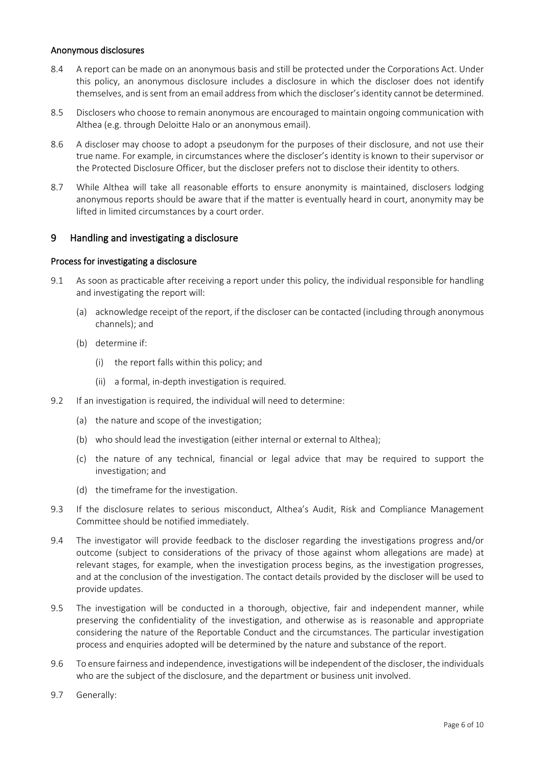#### Anonymous disclosures

- 8.4 A report can be made on an anonymous basis and still be protected under the Corporations Act. Under this policy, an anonymous disclosure includes a disclosure in which the discloser does not identify themselves, and issent from an email address from which the discloser's identity cannot be determined.
- 8.5 Disclosers who choose to remain anonymous are encouraged to maintain ongoing communication with Althea (e.g. through Deloitte Halo or an anonymous email).
- 8.6 A discloser may choose to adopt a pseudonym for the purposes of their disclosure, and not use their true name. For example, in circumstances where the discloser's identity is known to their supervisor or the Protected Disclosure Officer, but the discloser prefers not to disclose their identity to others.
- 8.7 While Althea will take all reasonable efforts to ensure anonymity is maintained, disclosers lodging anonymous reports should be aware that if the matter is eventually heard in court, anonymity may be lifted in limited circumstances by a court order.

## 9 Handling and investigating a disclosure

#### Process for investigating a disclosure

- 9.1 As soon as practicable after receiving a report under this policy, the individual responsible for handling and investigating the report will:
	- (a) acknowledge receipt of the report, if the discloser can be contacted (including through anonymous channels); and
	- (b) determine if:
		- (i) the report falls within this policy; and
		- (ii) a formal, in-depth investigation is required.
- 9.2 If an investigation is required, the individual will need to determine:
	- (a) the nature and scope of the investigation;
	- (b) who should lead the investigation (either internal or external to Althea);
	- (c) the nature of any technical, financial or legal advice that may be required to support the investigation; and
	- (d) the timeframe for the investigation.
- 9.3 If the disclosure relates to serious misconduct, Althea's Audit, Risk and Compliance Management Committee should be notified immediately.
- 9.4 The investigator will provide feedback to the discloser regarding the investigations progress and/or outcome (subject to considerations of the privacy of those against whom allegations are made) at relevant stages, for example, when the investigation process begins, as the investigation progresses, and at the conclusion of the investigation. The contact details provided by the discloser will be used to provide updates.
- 9.5 The investigation will be conducted in a thorough, objective, fair and independent manner, while preserving the confidentiality of the investigation, and otherwise as is reasonable and appropriate considering the nature of the Reportable Conduct and the circumstances. The particular investigation process and enquiries adopted will be determined by the nature and substance of the report.
- 9.6 To ensure fairness and independence, investigations will be independent of the discloser, the individuals who are the subject of the disclosure, and the department or business unit involved.
- 9.7 Generally: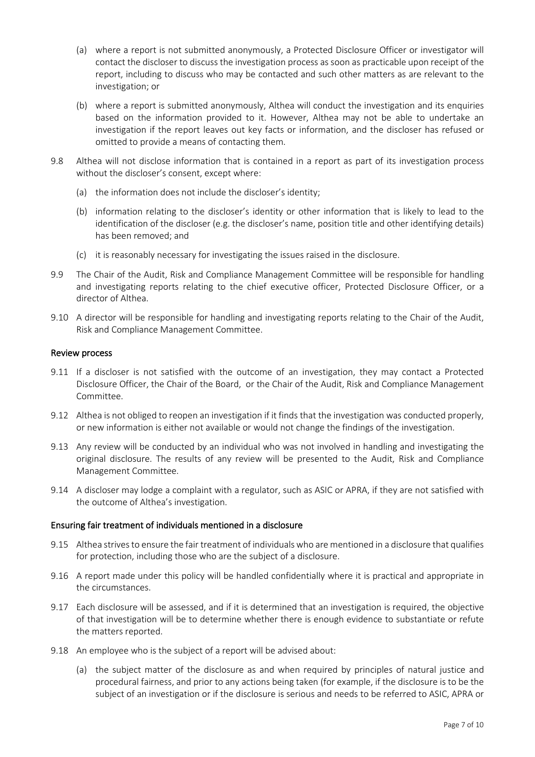- (a) where a report is not submitted anonymously, a Protected Disclosure Officer or investigator will contact the discloser to discuss the investigation process as soon as practicable upon receipt of the report, including to discuss who may be contacted and such other matters as are relevant to the investigation; or
- (b) where a report is submitted anonymously, Althea will conduct the investigation and its enquiries based on the information provided to it. However, Althea may not be able to undertake an investigation if the report leaves out key facts or information, and the discloser has refused or omitted to provide a means of contacting them.
- 9.8 Althea will not disclose information that is contained in a report as part of its investigation process without the discloser's consent, except where:
	- (a) the information does not include the discloser's identity;
	- (b) information relating to the discloser's identity or other information that is likely to lead to the identification of the discloser (e.g. the discloser's name, position title and other identifying details) has been removed; and
	- (c) it is reasonably necessary for investigating the issues raised in the disclosure.
- 9.9 The Chair of the Audit, Risk and Compliance Management Committee will be responsible for handling and investigating reports relating to the chief executive officer, Protected Disclosure Officer, or a director of Althea.
- 9.10 A director will be responsible for handling and investigating reports relating to the Chair of the Audit, Risk and Compliance Management Committee.

#### Review process

- <span id="page-6-0"></span>9.11 If a discloser is not satisfied with the outcome of an investigation, they may contact a Protected Disclosure Officer, the Chair of the Board, or the Chair of the Audit, Risk and Compliance Management Committee.
- 9.12 Althea is not obliged to reopen an investigation if it finds that the investigation was conducted properly, or new information is either not available or would not change the findings of the investigation.
- 9.13 Any review will be conducted by an individual who was not involved in handling and investigating the original disclosure. The results of any review will be presented to the Audit, Risk and Compliance Management Committee.
- 9.14 A discloser may lodge a complaint with a regulator, such as ASIC or APRA, if they are not satisfied with the outcome of Althea's investigation.

#### Ensuring fair treatment of individuals mentioned in a disclosure

- 9.15 Althea strives to ensure the fair treatment of individuals who are mentioned in a disclosure that qualifies for protection, including those who are the subject of a disclosure.
- 9.16 A report made under this policy will be handled confidentially where it is practical and appropriate in the circumstances.
- 9.17 Each disclosure will be assessed, and if it is determined that an investigation is required, the objective of that investigation will be to determine whether there is enough evidence to substantiate or refute the matters reported.
- 9.18 An employee who is the subject of a report will be advised about:
	- (a) the subject matter of the disclosure as and when required by principles of natural justice and procedural fairness, and prior to any actions being taken (for example, if the disclosure is to be the subject of an investigation or if the disclosure is serious and needs to be referred to ASIC, APRA or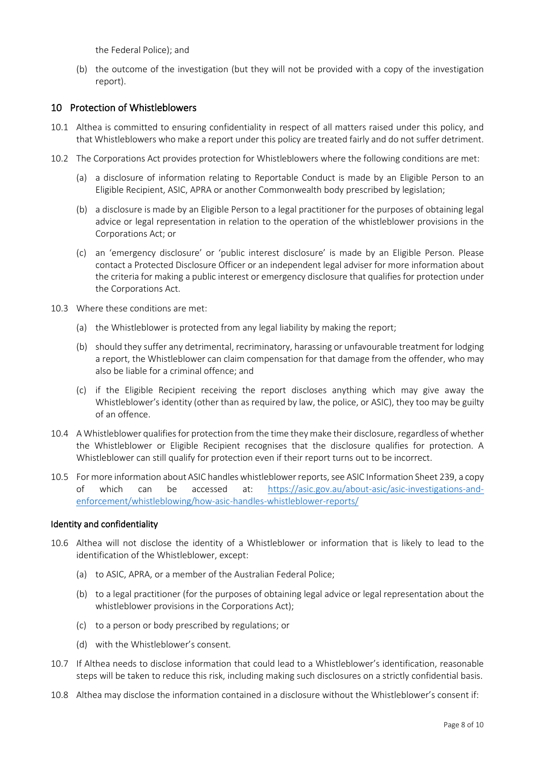the Federal Police); and

(b) the outcome of the investigation (but they will not be provided with a copy of the investigation report).

## <span id="page-7-0"></span>10 Protection of Whistleblowers

- 10.1 Althea is committed to ensuring confidentiality in respect of all matters raised under this policy, and that Whistleblowers who make a report under this policy are treated fairly and do not suffer detriment.
- 10.2 The Corporations Act provides protection for Whistleblowers where the following conditions are met:
	- (a) a disclosure of information relating to Reportable Conduct is made by an Eligible Person to an Eligible Recipient, ASIC, APRA or another Commonwealth body prescribed by legislation;
	- (b) a disclosure is made by an Eligible Person to a legal practitioner for the purposes of obtaining legal advice or legal representation in relation to the operation of the whistleblower provisions in the Corporations Act; or
	- (c) an 'emergency disclosure' or 'public interest disclosure' is made by an Eligible Person. Please contact a Protected Disclosure Officer or an independent legal adviser for more information about the criteria for making a public interest or emergency disclosure that qualifies for protection under the Corporations Act.
- 10.3 Where these conditions are met:
	- (a) the Whistleblower is protected from any legal liability by making the report;
	- (b) should they suffer any detrimental, recriminatory, harassing or unfavourable treatment for lodging a report, the Whistleblower can claim compensation for that damage from the offender, who may also be liable for a criminal offence; and
	- (c) if the Eligible Recipient receiving the report discloses anything which may give away the Whistleblower's identity (other than as required by law, the police, or ASIC), they too may be guilty of an offence.
- 10.4 A Whistleblower qualifies for protection from the time they make their disclosure, regardless of whether the Whistleblower or Eligible Recipient recognises that the disclosure qualifies for protection. A Whistleblower can still qualify for protection even if their report turns out to be incorrect.
- 10.5 For more information about ASIC handles whistleblower reports, see ASIC Information Sheet 239, a copy of which can be accessed at: [https://asic.gov.au/about-asic/asic-investigations-and](https://asic.gov.au/about-asic/asic-investigations-and-enforcement/whistleblowing/how-asic-handles-whistleblower-reports/)[enforcement/whistleblowing/how-asic-handles-whistleblower-reports/](https://asic.gov.au/about-asic/asic-investigations-and-enforcement/whistleblowing/how-asic-handles-whistleblower-reports/)

#### Identity and confidentiality

- 10.6 Althea will not disclose the identity of a Whistleblower or information that is likely to lead to the identification of the Whistleblower, except:
	- (a) to ASIC, APRA, or a member of the Australian Federal Police;
	- (b) to a legal practitioner (for the purposes of obtaining legal advice or legal representation about the whistleblower provisions in the Corporations Act);
	- (c) to a person or body prescribed by regulations; or
	- (d) with the Whistleblower's consent.
- 10.7 If Althea needs to disclose information that could lead to a Whistleblower's identification, reasonable steps will be taken to reduce this risk, including making such disclosures on a strictly confidential basis.
- 10.8 Althea may disclose the information contained in a disclosure without the Whistleblower's consent if: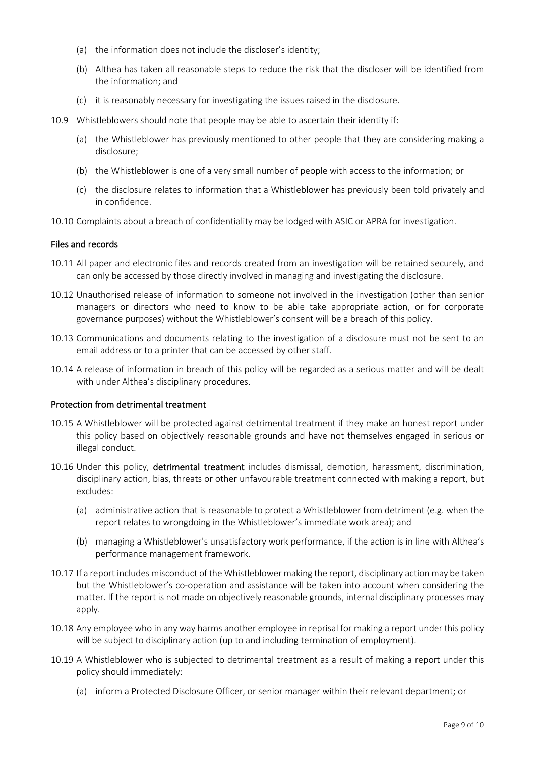- (a) the information does not include the discloser's identity;
- (b) Althea has taken all reasonable steps to reduce the risk that the discloser will be identified from the information; and
- (c) it is reasonably necessary for investigating the issues raised in the disclosure.
- 10.9 Whistleblowers should note that people may be able to ascertain their identity if:
	- (a) the Whistleblower has previously mentioned to other people that they are considering making a disclosure;
	- (b) the Whistleblower is one of a very small number of people with access to the information; or
	- (c) the disclosure relates to information that a Whistleblower has previously been told privately and in confidence.
- 10.10 Complaints about a breach of confidentiality may be lodged with ASIC or APRA for investigation.

#### Files and records

- 10.11 All paper and electronic files and records created from an investigation will be retained securely, and can only be accessed by those directly involved in managing and investigating the disclosure.
- 10.12 Unauthorised release of information to someone not involved in the investigation (other than senior managers or directors who need to know to be able take appropriate action, or for corporate governance purposes) without the Whistleblower's consent will be a breach of this policy.
- 10.13 Communications and documents relating to the investigation of a disclosure must not be sent to an email address or to a printer that can be accessed by other staff.
- 10.14 A release of information in breach of this policy will be regarded as a serious matter and will be dealt with under Althea's disciplinary procedures.

#### Protection from detrimental treatment

- 10.15 A Whistleblower will be protected against detrimental treatment if they make an honest report under this policy based on objectively reasonable grounds and have not themselves engaged in serious or illegal conduct.
- 10.16 Under this policy, detrimental treatment includes dismissal, demotion, harassment, discrimination, disciplinary action, bias, threats or other unfavourable treatment connected with making a report, but excludes:
	- (a) administrative action that is reasonable to protect a Whistleblower from detriment (e.g. when the report relates to wrongdoing in the Whistleblower's immediate work area); and
	- (b) managing a Whistleblower's unsatisfactory work performance, if the action is in line with Althea's performance management framework.
- 10.17 If a report includes misconduct of the Whistleblower making the report, disciplinary action may be taken but the Whistleblower's co-operation and assistance will be taken into account when considering the matter. If the report is not made on objectively reasonable grounds, internal disciplinary processes may apply.
- 10.18 Any employee who in any way harms another employee in reprisal for making a report under this policy will be subject to disciplinary action (up to and including termination of employment).
- 10.19 A Whistleblower who is subjected to detrimental treatment as a result of making a report under this policy should immediately:
	- (a) inform a Protected Disclosure Officer, or senior manager within their relevant department; or